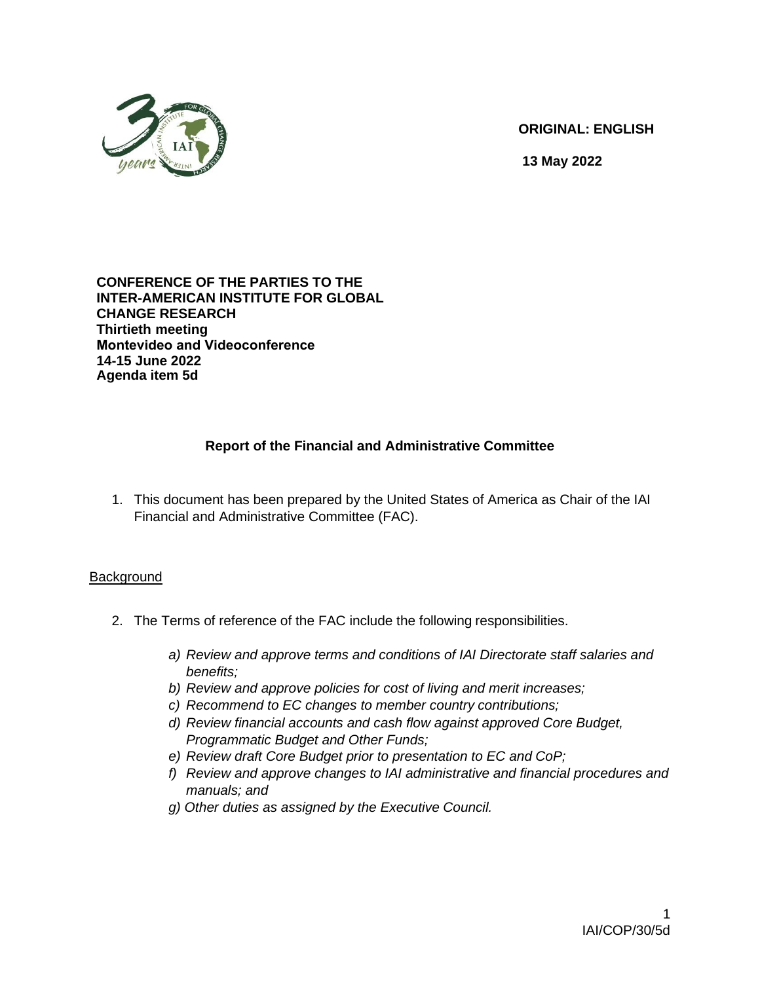

**ORIGINAL: ENGLISH** 

**13 May 2022**

#### **CONFERENCE OF THE PARTIES TO THE INTER-AMERICAN INSTITUTE FOR GLOBAL CHANGE RESEARCH Thirtieth meeting Montevideo and Videoconference 14-15 June 2022 Agenda item 5d**

# **Report of the Financial and Administrative Committee**

1. This document has been prepared by the United States of America as Chair of the IAI Financial and Administrative Committee (FAC).

# **Background**

- 2. The Terms of reference of the FAC include the following responsibilities.
	- *a) Review and approve terms and conditions of IAI Directorate staff salaries and benefits;*
	- *b) Review and approve policies for cost of living and merit increases;*
	- *c) Recommend to EC changes to member country contributions;*
	- *d) Review financial accounts and cash flow against approved Core Budget, Programmatic Budget and Other Funds;*
	- *e) Review draft Core Budget prior to presentation to EC and CoP;*
	- *f) Review and approve changes to IAI administrative and financial procedures and manuals; and*
	- *g) Other duties as assigned by the Executive Council.*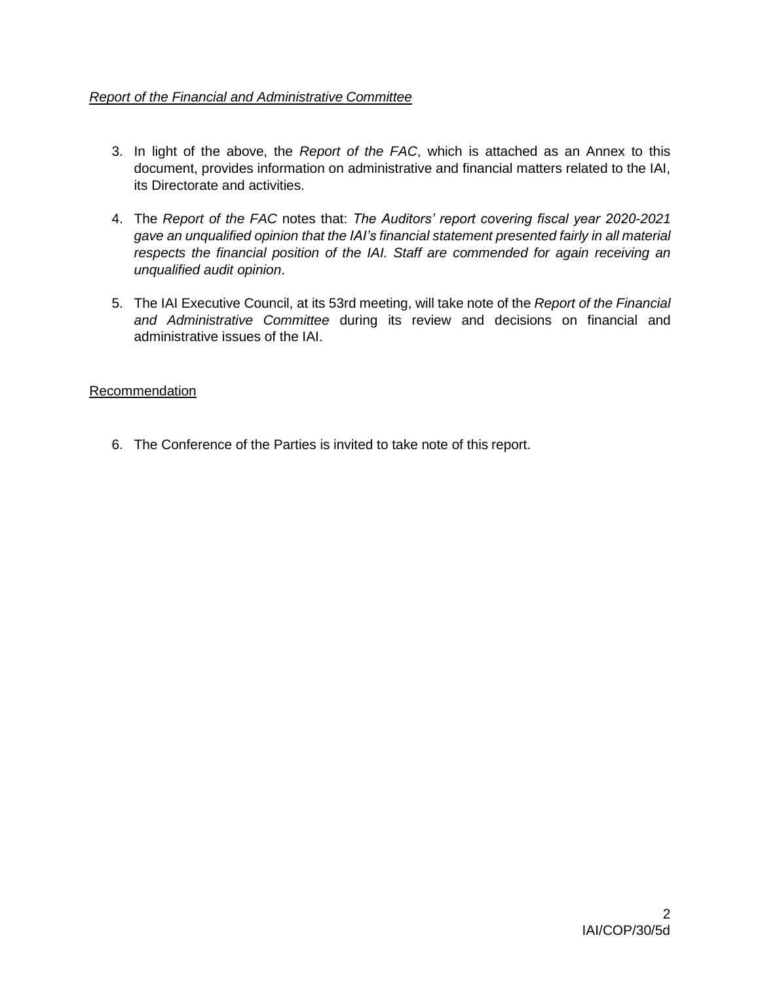# *Report of the Financial and Administrative Committee*

- 3. In light of the above, the *Report of the FAC*, which is attached as an Annex to this document, provides information on administrative and financial matters related to the IAI, its Directorate and activities.
- 4. The *Report of the FAC* notes that: *The Auditors' report covering fiscal year 2020-2021 gave an unqualified opinion that the IAI's financial statement presented fairly in all material respects the financial position of the IAI. Staff are commended for again receiving an unqualified audit opinion*.
- 5. The IAI Executive Council, at its 53rd meeting, will take note of the *Report of the Financial and Administrative Committee* during its review and decisions on financial and administrative issues of the IAI.

### Recommendation

6. The Conference of the Parties is invited to take note of this report.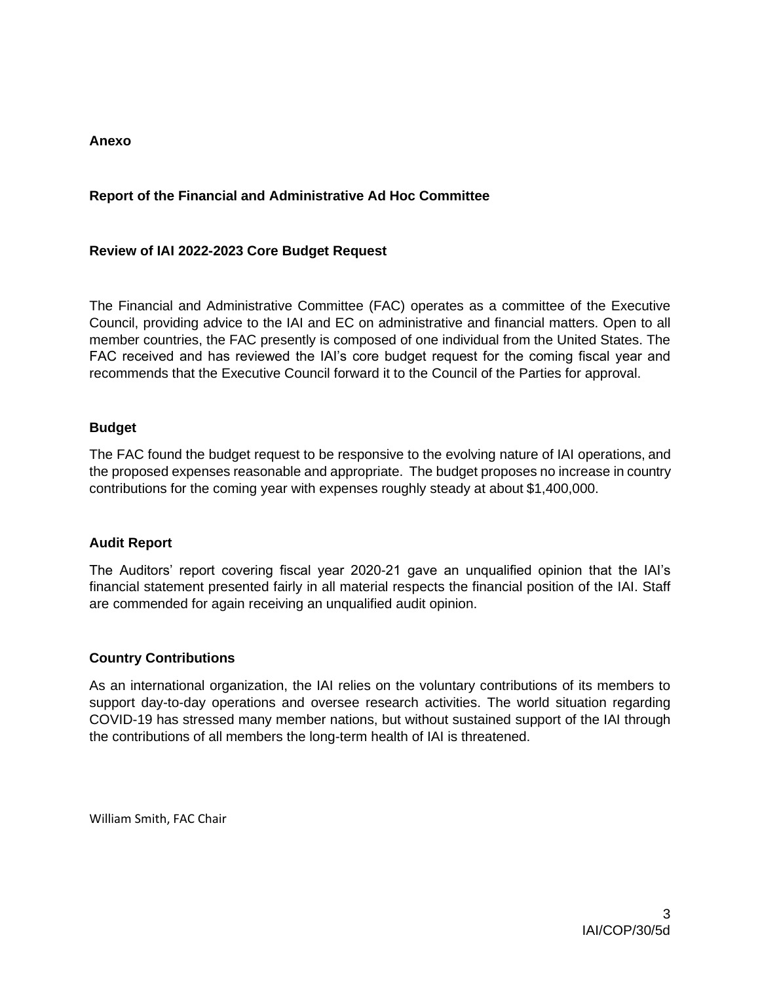## **Anexo**

## **Report of the Financial and Administrative Ad Hoc Committee**

### **Review of IAI 2022-2023 Core Budget Request**

The Financial and Administrative Committee (FAC) operates as a committee of the Executive Council, providing advice to the IAI and EC on administrative and financial matters. Open to all member countries, the FAC presently is composed of one individual from the United States. The FAC received and has reviewed the IAI's core budget request for the coming fiscal year and recommends that the Executive Council forward it to the Council of the Parties for approval.

#### **Budget**

The FAC found the budget request to be responsive to the evolving nature of IAI operations, and the proposed expenses reasonable and appropriate. The budget proposes no increase in country contributions for the coming year with expenses roughly steady at about \$1,400,000.

#### **Audit Report**

The Auditors' report covering fiscal year 2020-21 gave an unqualified opinion that the IAI's financial statement presented fairly in all material respects the financial position of the IAI. Staff are commended for again receiving an unqualified audit opinion.

### **Country Contributions**

As an international organization, the IAI relies on the voluntary contributions of its members to support day-to-day operations and oversee research activities. The world situation regarding COVID-19 has stressed many member nations, but without sustained support of the IAI through the contributions of all members the long-term health of IAI is threatened.

William Smith, FAC Chair